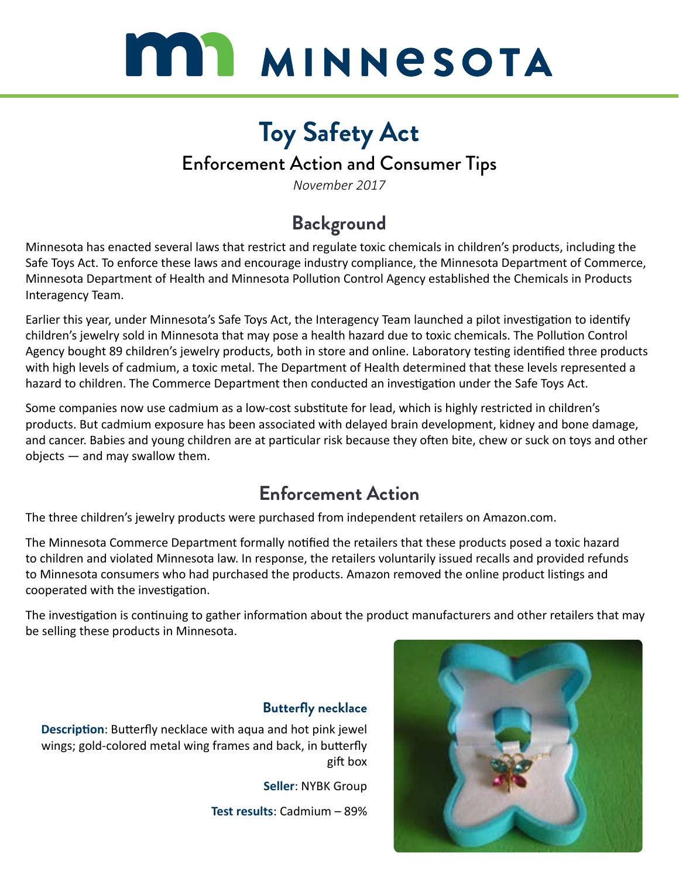

# **Toy Safety Act**

### Enforcement Action and Consumer Tips

*November 2017*

### **Background**

Minnesota has enacted several laws that restrict and regulate toxic chemicals in children's products, including the Safe Toys Act. To enforce these laws and encourage industry compliance, the Minnesota Department of Commerce, Minnesota Department of Health and Minnesota Pollution Control Agency established the Chemicals in Products Interagency Team.

Earlier this year, under Minnesota's Safe Toys Act, the Interagency Team launched a pilot investigation to identify children's jewelry sold in Minnesota that may pose a health hazard due to toxic chemicals. The Pollution Control Agency bought 89 children's jewelry products, both in store and online. Laboratory testing identified three products with high levels of cadmium, a toxic metal. The Department of Health determined that these levels represented a hazard to children. The Commerce Department then conducted an investigation under the Safe Toys Act.

Some companies now use cadmium as a low-cost substitute for lead, which is highly restricted in children's products. But cadmium exposure has been associated with delayed brain development, kidney and bone damage, and cancer. Babies and young children are at particular risk because they often bite, chew or suck on toys and other objects — and may swallow them.

### **Enforcement Action**

The three children's jewelry products were purchased from independent retailers on Amazon.com.

The Minnesota Commerce Department formally notified the retailers that these products posed a toxic hazard to children and violated Minnesota law. In response, the retailers voluntarily issued recalls and provided refunds to Minnesota consumers who had purchased the products. Amazon removed the online product listings and cooperated with the investigation.

The investigation is continuing to gather information about the product manufacturers and other retailers that may be selling these products in Minnesota.

#### **Butterfly necklace**

**Description**: Butterfly necklace with aqua and hot pink jewel wings; gold-colored metal wing frames and back, in butterfly gift box

**Seller**: NYBK Group

**Test results**: Cadmium – 89%